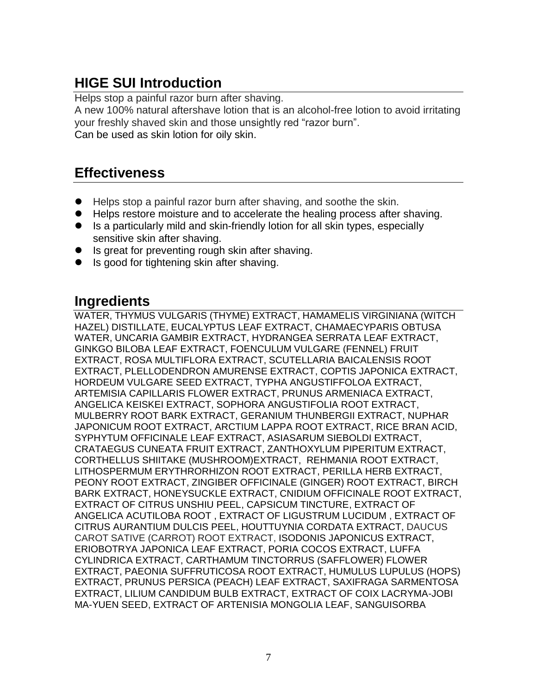# **HIGE SUI Introduction**

Helps stop a painful razor burn after shaving.

A new 100% natural aftershave lotion that is an alcohol-free lotion to avoid irritating your freshly shaved skin and those unsightly red "razor burn". Can be used as skin lotion for oily skin.

### **Effectiveness**

- Helps stop a painful razor burn after shaving, and soothe the skin.
- Helps restore moisture and to accelerate the healing process after shaving.
- Is a particularly mild and skin-friendly lotion for all skin types, especially sensitive skin after shaving.
- Is great for preventing rough skin after shaving.
- Is good for tightening skin after shaving.

#### **Ingredients**

WATER, THYMUS VULGARIS (THYME) EXTRACT, HAMAMELIS VIRGINIANA (WITCH HAZEL) DISTILLATE, EUCALYPTUS LEAF EXTRACT, CHAMAECYPARIS OBTUSA WATER, UNCARIA GAMBIR EXTRACT, HYDRANGEA SERRATA LEAF EXTRACT, GINKGO BILOBA LEAF EXTRACT, FOENCULUM VULGARE (FENNEL) FRUIT EXTRACT, ROSA MULTIFLORA EXTRACT, SCUTELLARIA BAICALENSIS ROOT EXTRACT, PLELLODENDRON AMURENSE EXTRACT, COPTIS JAPONICA EXTRACT, HORDEUM VULGARE SEED EXTRACT, TYPHA ANGUSTIFFOLOA EXTRACT, ARTEMISIA CAPILLARIS FLOWER EXTRACT, PRUNUS ARMENIACA EXTRACT, ANGELICA KEISKEI EXTRACT, SOPHORA ANGUSTIFOLIA ROOT EXTRACT, MULBERRY ROOT BARK EXTRACT, GERANIUM THUNBERGII EXTRACT, NUPHAR JAPONICUM ROOT EXTRACT, ARCTIUM LAPPA ROOT EXTRACT, RICE BRAN ACID, SYPHYTUM OFFICINALE LEAF EXTRACT, ASIASARUM SIEBOLDI EXTRACT, CRATAEGUS CUNEATA FRUIT EXTRACT, ZANTHOXYLUM PIPERITUM EXTRACT, CORTHELLUS SHIITAKE (MUSHROOM)EXTRACT, REHMANIA ROOT EXTRACT, LITHOSPERMUM ERYTHRORHIZON ROOT EXTRACT, PERILLA HERB EXTRACT, PEONY ROOT EXTRACT, ZINGIBER OFFICINALE (GINGER) ROOT EXTRACT, BIRCH BARK EXTRACT, HONEYSUCKLE EXTRACT, CNIDIUM OFFICINALE ROOT EXTRACT, EXTRACT OF CITRUS UNSHIU PEEL, CAPSICUM TINCTURE, EXTRACT OF ANGELICA ACUTILOBA ROOT , EXTRACT OF LIGUSTRUM LUCIDUM , EXTRACT OF CITRUS AURANTIUM DULCIS PEEL, HOUTTUYNIA CORDATA EXTRACT, DAUCUS CAROT SATIVE (CARROT) ROOT EXTRACT, ISODONIS JAPONICUS EXTRACT, ERIOBOTRYA JAPONICA LEAF EXTRACT, PORIA COCOS EXTRACT, LUFFA CYLINDRICA EXTRACT, CARTHAMUM TINCTORRUS (SAFFLOWER) FLOWER EXTRACT, PAEONIA SUFFRUTICOSA ROOT EXTRACT, HUMULUS LUPULUS (HOPS) EXTRACT, PRUNUS PERSICA (PEACH) LEAF EXTRACT, SAXIFRAGA SARMENTOSA EXTRACT, LILIUM CANDIDUM BULB EXTRACT, EXTRACT OF COIX LACRYMA-JOBI MA-YUEN SEED, EXTRACT OF ARTENISIA MONGOLIA LEAF, SANGUISORBA